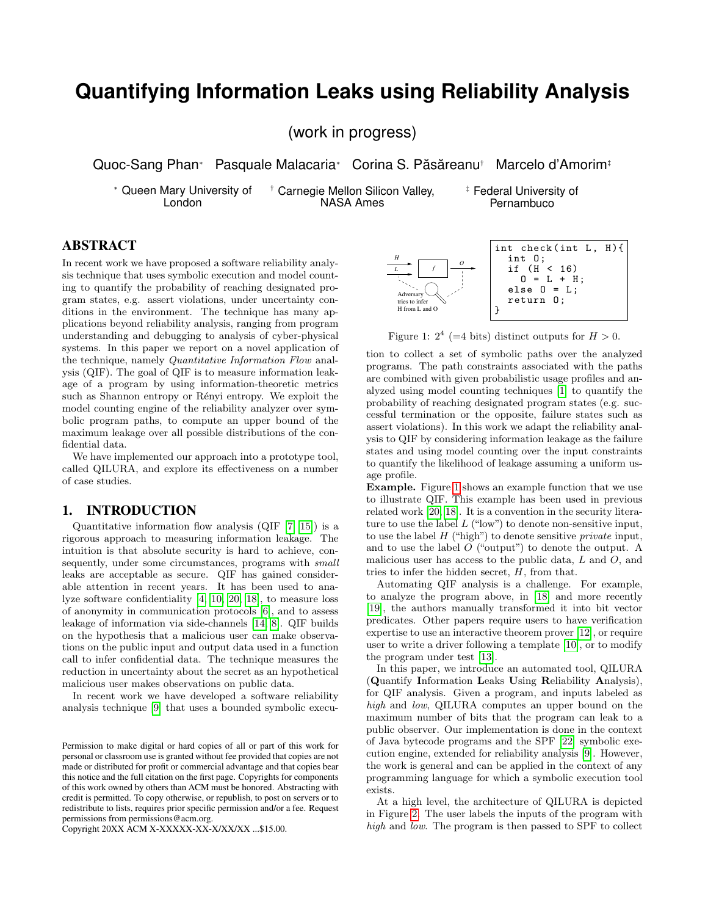# **Quantifying Information Leaks using Reliability Analysis**

(work in progress)

Quoc-Sang Phan<sup>∗</sup> Pasquale Malacaria<sup>∗</sup> Corina S. Păsăreanu<sup>†</sup> Marcelo d'Amorim‡

<sup>∗</sup> Queen Mary University of London

† Carnegie Mellon Silicon Valley, NASA Ames

‡ Federal University of Pernambuco

# ABSTRACT

In recent work we have proposed a software reliability analysis technique that uses symbolic execution and model counting to quantify the probability of reaching designated program states, e.g. assert violations, under uncertainty conditions in the environment. The technique has many applications beyond reliability analysis, ranging from program understanding and debugging to analysis of cyber-physical systems. In this paper we report on a novel application of the technique, namely Quantitative Information Flow analysis (QIF). The goal of QIF is to measure information leakage of a program by using information-theoretic metrics such as Shannon entropy or Rényi entropy. We exploit the model counting engine of the reliability analyzer over symbolic program paths, to compute an upper bound of the maximum leakage over all possible distributions of the confidential data.

We have implemented our approach into a prototype tool, called QILURA, and explore its effectiveness on a number of case studies.

# 1. INTRODUCTION

Quantitative information flow analysis (QIF [\[7,](#page-3-0) [15\]](#page-3-1)) is a rigorous approach to measuring information leakage. The intuition is that absolute security is hard to achieve, consequently, under some circumstances, programs with small leaks are acceptable as secure. QIF has gained considerable attention in recent years. It has been used to analyze software confidentiality [\[4,](#page-3-2) [10,](#page-3-3) [20,](#page-3-4) [18\]](#page-3-5), to measure loss of anonymity in communication protocols [\[6\]](#page-3-6), and to assess leakage of information via side-channels [\[14,](#page-3-7) [8\]](#page-3-8). QIF builds on the hypothesis that a malicious user can make observations on the public input and output data used in a function call to infer confidential data. The technique measures the reduction in uncertainty about the secret as an hypothetical malicious user makes observations on public data.

In recent work we have developed a software reliability analysis technique [\[9\]](#page-3-9) that uses a bounded symbolic execu-

Copyright 20XX ACM X-XXXXX-XX-X/XX/XX ...\$15.00.

<span id="page-0-0"></span>

Figure 1:  $2^4$  (=4 bits) distinct outputs for  $H > 0$ .

tion to collect a set of symbolic paths over the analyzed programs. The path constraints associated with the paths are combined with given probabilistic usage profiles and analyzed using model counting techniques [\[1\]](#page-3-10) to quantify the probability of reaching designated program states (e.g. successful termination or the opposite, failure states such as assert violations). In this work we adapt the reliability analysis to QIF by considering information leakage as the failure states and using model counting over the input constraints to quantify the likelihood of leakage assuming a uniform usage profile.

Example. Figure [1](#page-0-0) shows an example function that we use to illustrate QIF. This example has been used in previous related work [\[20,](#page-3-4) [18\]](#page-3-5). It is a convention in the security literature to use the label  $L$  ("low") to denote non-sensitive input, to use the label  $H$  ("high") to denote sensitive *private* input, and to use the label  $O$  ("output") to denote the output. A malicious user has access to the public data,  $L$  and  $O$ , and tries to infer the hidden secret,  $H$ , from that.

Automating QIF analysis is a challenge. For example, to analyze the program above, in [\[18\]](#page-3-5) and more recently [\[19\]](#page-3-11), the authors manually transformed it into bit vector predicates. Other papers require users to have verification expertise to use an interactive theorem prover [\[12\]](#page-3-12), or require user to write a driver following a template [\[10\]](#page-3-3), or to modify the program under test [\[13\]](#page-3-13).

In this paper, we introduce an automated tool, QILURA (Quantify Information Leaks Using Reliability Analysis), for QIF analysis. Given a program, and inputs labeled as high and low, QILURA computes an upper bound on the maximum number of bits that the program can leak to a public observer. Our implementation is done in the context of Java bytecode programs and the SPF [\[22\]](#page-3-14) symbolic execution engine, extended for reliability analysis [\[9\]](#page-3-9). However, the work is general and can be applied in the context of any programming language for which a symbolic execution tool exists.

At a high level, the architecture of QILURA is depicted in Figure [2.](#page-1-0) The user labels the inputs of the program with high and low. The program is then passed to SPF to collect

Permission to make digital or hard copies of all or part of this work for personal or classroom use is granted without fee provided that copies are not made or distributed for profit or commercial advantage and that copies bear this notice and the full citation on the first page. Copyrights for components of this work owned by others than ACM must be honored. Abstracting with credit is permitted. To copy otherwise, or republish, to post on servers or to redistribute to lists, requires prior specific permission and/or a fee. Request permissions from permissions@acm.org.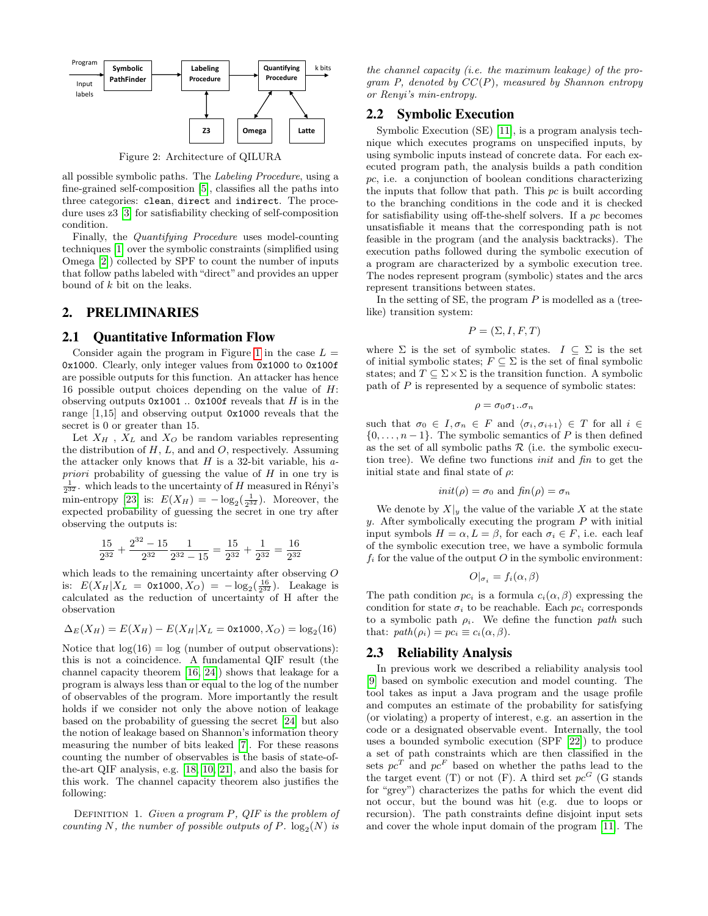<span id="page-1-0"></span>

Figure 2: Architecture of QILURA

all possible symbolic paths. The Labeling Procedure, using a fine-grained self-composition [\[5\]](#page-3-15), classifies all the paths into three categories: clean, direct and indirect. The procedure uses z3 [\[3\]](#page-3-16) for satisfiability checking of self-composition condition.

Finally, the Quantifying Procedure uses model-counting techniques [\[1\]](#page-3-10) over the symbolic constraints (simplified using Omega [\[2\]](#page-3-17)) collected by SPF to count the number of inputs that follow paths labeled with "direct" and provides an upper bound of k bit on the leaks.

# 2. PRELIMINARIES

#### 2.1 Quantitative Information Flow

Consider again the program in Figure [1](#page-0-0) in the case  $L =$ 0x1000. Clearly, only integer values from 0x1000 to 0x100f are possible outputs for this function. An attacker has hence 16 possible output choices depending on the value of  $H$ : observing outputs  $0x1001$ ..  $0x100f$  reveals that H is in the range [1,15] and observing output 0x1000 reveals that the secret is 0 or greater than 15.

Let  $X_H$ ,  $X_L$  and  $X_O$  be random variables representing the distribution of  $H$ ,  $L$ , and and  $O$ , respectively. Assuming the attacker only knows that  $H$  is a 32-bit variable, his  $a$ priori probability of guessing the value of  $H$  in one try is  $\frac{1}{2^{32}}$ . which leads to the uncertainty of H measured in Rényi's min-entropy [\[23\]](#page-3-18) is:  $E(X_H) = -\log_2(\frac{1}{2^{32}})$ . Moreover, the expected probability of guessing the secret in one try after observing the outputs is:

$$
\frac{15}{2^{32}} + \frac{2^{32} - 15}{2^{32}} \frac{1}{2^{32} - 15} = \frac{15}{2^{32}} + \frac{1}{2^{32}} = \frac{16}{2^{32}}
$$

which leads to the remaining uncertainty after observing O is:  $E(X_H|X_L = 0 \times 1000, X_O) = -\log_2(\frac{16}{2^{32}})$ . Leakage is calculated as the reduction of uncertainty of H after the observation

$$
\Delta_E(X_H) = E(X_H) - E(X_H | X_L = 0 \times 1000, X_O) = \log_2(16)
$$

Notice that  $log(16) = log$  (number of output observations): this is not a coincidence. A fundamental QIF result (the channel capacity theorem [\[16,](#page-3-19) [24\]](#page-3-20)) shows that leakage for a program is always less than or equal to the log of the number of observables of the program. More importantly the result holds if we consider not only the above notion of leakage based on the probability of guessing the secret [\[24\]](#page-3-20) but also the notion of leakage based on Shannon's information theory measuring the number of bits leaked [\[7\]](#page-3-0). For these reasons counting the number of observables is the basis of state-ofthe-art QIF analysis, e.g. [\[18,](#page-3-5) [10,](#page-3-3) [21\]](#page-3-21), and also the basis for this work. The channel capacity theorem also justifies the following:

DEFINITION 1. Given a program  $P$ , QIF is the problem of counting N, the number of possible outputs of P.  $log_2(N)$  is

the channel capacity (i.e. the maximum leakage) of the program P, denoted by  $CC(P)$ , measured by Shannon entropy or Renyi's min-entropy.

# 2.2 Symbolic Execution

Symbolic Execution (SE) [\[11\]](#page-3-22), is a program analysis technique which executes programs on unspecified inputs, by using symbolic inputs instead of concrete data. For each executed program path, the analysis builds a path condition pc, i.e. a conjunction of boolean conditions characterizing the inputs that follow that path. This  $pc$  is built according to the branching conditions in the code and it is checked for satisfiability using off-the-shelf solvers. If a pc becomes unsatisfiable it means that the corresponding path is not feasible in the program (and the analysis backtracks). The execution paths followed during the symbolic execution of a program are characterized by a symbolic execution tree. The nodes represent program (symbolic) states and the arcs represent transitions between states.

In the setting of SE, the program  $P$  is modelled as a (treelike) transition system:

$$
P = (\Sigma, I, F, T)
$$

where  $\Sigma$  is the set of symbolic states.  $I \subseteq \Sigma$  is the set of initial symbolic states;  $F \subseteq \Sigma$  is the set of final symbolic states; and  $T \subseteq \Sigma \times \Sigma$  is the transition function. A symbolic path of  $P$  is represented by a sequence of symbolic states:

$$
\rho = \sigma_0 \sigma_1..\sigma_n
$$

such that  $\sigma_0 \in I, \sigma_n \in F$  and  $\langle \sigma_i, \sigma_{i+1} \rangle \in T$  for all  $i \in$  $\{0, \ldots, n-1\}$ . The symbolic semantics of P is then defined as the set of all symbolic paths  $R$  (i.e. the symbolic execution tree). We define two functions init and fin to get the initial state and final state of  $\rho$ :

$$
init(\rho) = \sigma_0
$$
 and  $fin(\rho) = \sigma_n$ 

We denote by  $X|_y$  the value of the variable X at the state  $y$ . After symbolically executing the program  $P$  with initial input symbols  $H = \alpha, L = \beta$ , for each  $\sigma_i \in F$ , i.e. each leaf of the symbolic execution tree, we have a symbolic formula  $f_i$  for the value of the output O in the symbolic environment:

$$
O|_{\sigma_i}=f_i(\alpha,\beta)
$$

The path condition  $pc_i$  is a formula  $c_i(\alpha, \beta)$  expressing the condition for state  $\sigma_i$  to be reachable. Each  $pc_i$  corresponds to a symbolic path  $\rho_i$ . We define the function path such that:  $path(\rho_i) = pc_i \equiv c_i(\alpha, \beta).$ 

#### 2.3 Reliability Analysis

In previous work we described a reliability analysis tool [\[9\]](#page-3-9) based on symbolic execution and model counting. The tool takes as input a Java program and the usage profile and computes an estimate of the probability for satisfying (or violating) a property of interest, e.g. an assertion in the code or a designated observable event. Internally, the tool uses a bounded symbolic execution (SPF [\[22\]](#page-3-14)) to produce a set of path constraints which are then classified in the sets  $pc^T$  and  $pc^F$  based on whether the paths lead to the the target event (T) or not (F). A third set  $pc<sup>G</sup>$  (G stands for "grey") characterizes the paths for which the event did not occur, but the bound was hit (e.g. due to loops or recursion). The path constraints define disjoint input sets and cover the whole input domain of the program [\[11\]](#page-3-22). The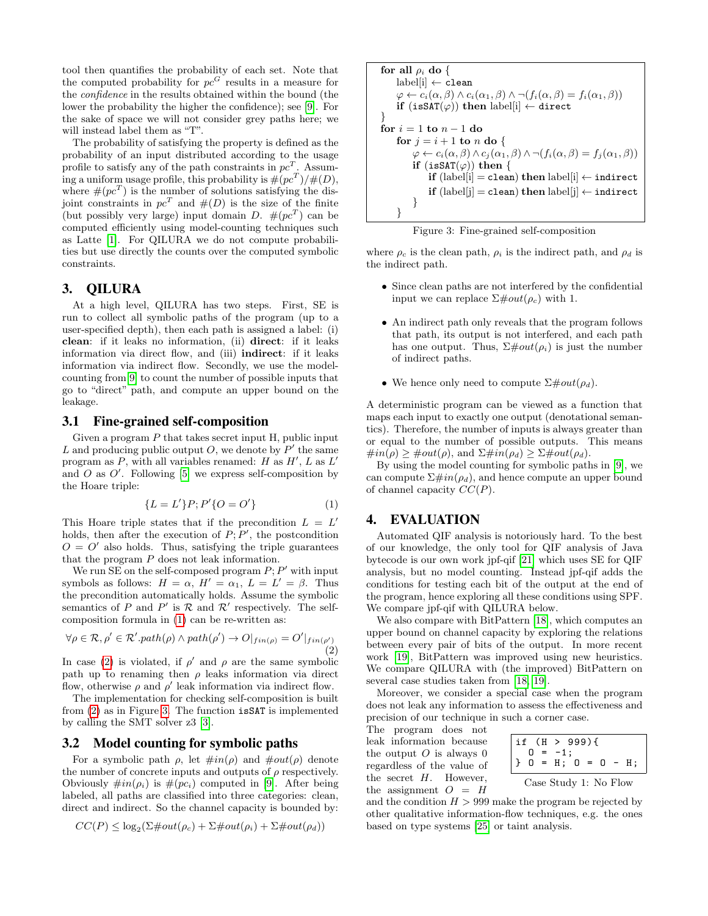tool then quantifies the probability of each set. Note that the computed probability for  $pc^G$  results in a measure for the confidence in the results obtained within the bound (the lower the probability the higher the confidence); see [\[9\]](#page-3-9). For the sake of space we will not consider grey paths here; we will instead label them as "T".

The probability of satisfying the property is defined as the probability of an input distributed according to the usage profile to satisfy any of the path constraints in  $pc<sup>T</sup>$ . Assuming a uniform usage profile, this probability is  $\# (pc^T)/\#(D),$ where  $\#(pc^T)$  is the number of solutions satisfying the disjoint constraints in  $pc^T$  and  $#(D)$  is the size of the finite (but possibly very large) input domain D.  $\#(pc^T)$  can be computed efficiently using model-counting techniques such as Latte [\[1\]](#page-3-10). For QILURA we do not compute probabilities but use directly the counts over the computed symbolic constraints.

# 3. QILURA

At a high level, QILURA has two steps. First, SE is run to collect all symbolic paths of the program (up to a user-specified depth), then each path is assigned a label: (i) clean: if it leaks no information, (ii) direct: if it leaks information via direct flow, and (iii) indirect: if it leaks information via indirect flow. Secondly, we use the modelcounting from[\[9\]](#page-3-9) to count the number of possible inputs that go to "direct" path, and compute an upper bound on the leakage.

#### 3.1 Fine-grained self-composition

Given a program  $P$  that takes secret input H, public input L and producing public output  $O$ , we denote by  $P'$  the same program as P, with all variables renamed: H as  $H'$ , L as  $L'$ and  $\overline{O}$  as  $\overline{O}'$ . Following [\[5\]](#page-3-15) we express self-composition by the Hoare triple:

<span id="page-2-0"></span>
$$
\{L = L'\}P; P'\{O = O'\}\tag{1}
$$

This Hoare triple states that if the precondition  $L = L'$ holds, then after the execution of  $P$ ;  $P'$ , the postcondition  $O = O'$  also holds. Thus, satisfying the triple guarantees that the program P does not leak information.

We run SE on the self-composed program  $P$ ;  $P'$  with input symbols as follows:  $H = \alpha$ ,  $H' = \alpha_1$ ,  $L = L' = \beta$ . Thus the precondition automatically holds. Assume the symbolic semantics of P and P' is R and R' respectively. The selfcomposition formula in [\(1\)](#page-2-0) can be re-written as:

<span id="page-2-1"></span>
$$
\forall \rho \in \mathcal{R}, \rho' \in \mathcal{R}'.path(\rho) \land path(\rho') \to O|_{fin(\rho)} = O'|_{fin(\rho')}
$$
\n(2)

In case [\(2\)](#page-2-1) is violated, if  $\rho'$  and  $\rho$  are the same symbolic path up to renaming then  $\rho$  leaks information via direct flow, otherwise  $\rho$  and  $\rho'$  leak information via indirect flow.

The implementation for checking self-composition is built from [\(2\)](#page-2-1) as in Figure [3.](#page-2-2) The function isSAT is implemented by calling the SMT solver z3 [\[3\]](#page-3-16).

## 3.2 Model counting for symbolic paths

For a symbolic path  $\rho$ , let  $\#in(\rho)$  and  $\#out(\rho)$  denote the number of concrete inputs and outputs of  $\rho$  respectively. Obviously  $\#in(\rho_i)$  is  $\#(pc_i)$  computed in [\[9\]](#page-3-9). After being labeled, all paths are classified into three categories: clean, direct and indirect. So the channel capacity is bounded by:

$$
CC(P) \le \log_2(\Sigma \# out(\rho_c) + \Sigma \# out(\rho_i) + \Sigma \# out(\rho_d))
$$

<span id="page-2-2"></span>

Figure 3: Fine-grained self-composition

where  $\rho_c$  is the clean path,  $\rho_i$  is the indirect path, and  $\rho_d$  is the indirect path.

- Since clean paths are not interfered by the confidential input we can replace  $\Sigma \# out(\rho_c)$  with 1.
- An indirect path only reveals that the program follows that path, its output is not interfered, and each path has one output. Thus,  $\Sigma \# out(\rho_i)$  is just the number of indirect paths.
- We hence only need to compute  $\Sigma \# out(\rho_d)$ .

A deterministic program can be viewed as a function that maps each input to exactly one output (denotational semantics). Therefore, the number of inputs is always greater than or equal to the number of possible outputs. This means  $\#in(\rho) \geq \#out(\rho)$ , and  $\Sigma \#in(\rho_d) \geq \Sigma \#out(\rho_d)$ .

By using the model counting for symbolic paths in [\[9\]](#page-3-9), we can compute  $\Sigma\#in(\rho_d)$ , and hence compute an upper bound of channel capacity  $CC(P)$ .

#### 4. EVALUATION

Automated QIF analysis is notoriously hard. To the best of our knowledge, the only tool for QIF analysis of Java bytecode is our own work jpf-qif [\[21\]](#page-3-21) which uses SE for QIF analysis, but no model counting. Instead jpf-qif adds the conditions for testing each bit of the output at the end of the program, hence exploring all these conditions using SPF. We compare jpf-qif with QILURA below.

We also compare with BitPattern [\[18\]](#page-3-5), which computes an upper bound on channel capacity by exploring the relations between every pair of bits of the output. In more recent work [\[19\]](#page-3-11), BitPattern was improved using new heuristics. We compare QILURA with (the improved) BitPattern on several case studies taken from [\[18,](#page-3-5) [19\]](#page-3-11).

Moreover, we consider a special case when the program does not leak any information to assess the effectiveness and precision of our technique in such a corner case.

The program does not leak information because the output  $O$  is always 0 regardless of the value of the secret  $H$ . However, the assignment  $O = H$ 

if (H > 999){  
\n
$$
0 = -1
$$
;  
\n $0 = H$ ;  $0 = 0 - H$ ;  
\nCase Study 1: No Flow

and the condition  $H > 999$  make the program be rejected by other qualitative information-flow techniques, e.g. the ones based on type systems [\[25\]](#page-3-23) or taint analysis.